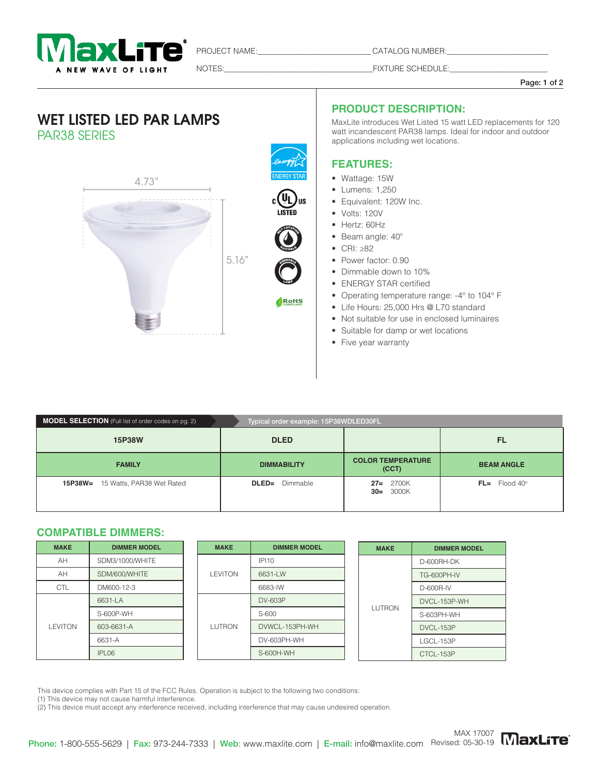

PROJECT NAME:\_\_\_\_\_\_\_\_\_\_\_\_\_\_\_\_\_\_\_\_\_\_\_\_\_\_\_\_\_ CATALOG NUMBER:\_\_\_\_\_\_\_\_\_\_\_\_\_\_\_\_\_\_\_\_\_\_\_\_\_\_

NOTES:\_\_\_\_\_\_\_\_\_\_\_\_\_\_\_\_\_\_\_\_\_\_\_\_\_\_\_\_\_\_\_\_\_\_\_\_\_\_FIXTURE SCHEDULE:\_\_\_\_\_\_\_\_\_\_\_\_\_\_\_\_\_\_\_\_\_\_\_\_\_

#### Page: 1 of 2

## WET LISTED LED PAR LAMPS PAR38 SERIES



### **PRODUCT DESCRIPTION:**

MaxLite introduces Wet Listed 15 watt LED replacements for 120 watt incandescent PAR38 lamps. Ideal for indoor and outdoor applications including wet locations.

#### **FEATURES:**

- Wattage: 15W
- Lumens: 1,250
- Equivalent: 120W Inc.
- Volts: 120V
- Hertz: 60Hz
- Hertz. comiz<br>• Beam angle: 40<sup>o</sup>
- CRI:  $\geq 82$
- Power factor: 0.90
- Dimmable down to 10%
- ENERGY STAR certified
- Operating temperature range: -4° to 104° F
- Life Hours: 25,000 Hrs @ L70 standard
- Not suitable for use in enclosed luminaires
- Suitable for damp or wet locations
- Five year warranty

| <b>MODEL SELECTION</b> (Full list of order codes on pg. 2) | Typical order example: 15P38WDLED30FL |                                   |                            |  |  |  |
|------------------------------------------------------------|---------------------------------------|-----------------------------------|----------------------------|--|--|--|
| 15P38W                                                     | <b>DLED</b>                           |                                   | <b>FL</b>                  |  |  |  |
| <b>FAMILY</b>                                              | <b>DIMMABILITY</b>                    | <b>COLOR TEMPERATURE</b><br>(CCT) | <b>BEAM ANGLE</b>          |  |  |  |
| 15P38W=<br>15 Watts, PAR38 Wet Rated                       | Dimmable<br>$DLED =$                  | $27 = 2700K$<br>$30 = 3000K$      | $FL =$ Flood 40 $^{\circ}$ |  |  |  |

LAMP

**COMPLIANT RoHS**

**OIMMABLE** 

**SUITABLE** WELFARE

#### **COMPATIBLE DIMMERS:**

| <b>MAKE</b>    | <b>DIMMER MODEL</b> |  | <b>MAKE</b>   | <b>DIMMER MODEL</b> |  | <b>MAKE</b>   | <b>DIMMER MODEL</b> |  |
|----------------|---------------------|--|---------------|---------------------|--|---------------|---------------------|--|
| AH             | SDM3/1000/WHITE     |  |               | <b>IPI10</b>        |  |               | D-600RH-DK          |  |
| AH             | SDM/600/WHITE       |  | LEVITON       | 6631-LW             |  |               | TG-600PH-IV         |  |
| <b>CTL</b>     | DM600-12-3          |  |               | 6683-IW             |  |               | D-600R-IV           |  |
| <b>LEVITON</b> | 6631-LA             |  | <b>LUTRON</b> | DV-603P             |  | <b>LUTRON</b> | DVCL-153P-WH        |  |
|                | S-600P-WH           |  |               | S-600               |  |               | S-603PH-WH          |  |
|                | 603-6631-A          |  |               | DVWCL-153PH-WH      |  |               | DVCL-153P           |  |
|                | 6631-A              |  |               | DV-603PH-WH         |  |               | LGCL-153P           |  |
|                | IPL <sub>06</sub>   |  |               | S-600H-WH           |  |               | CTCL-153P           |  |

This device complies with Part 15 of the FCC Rules. Operation is subject to the following two conditions:

(1) This device may not cause harmful interference.

(2) This device must accept any interference received, including interference that may cause undesired operation.